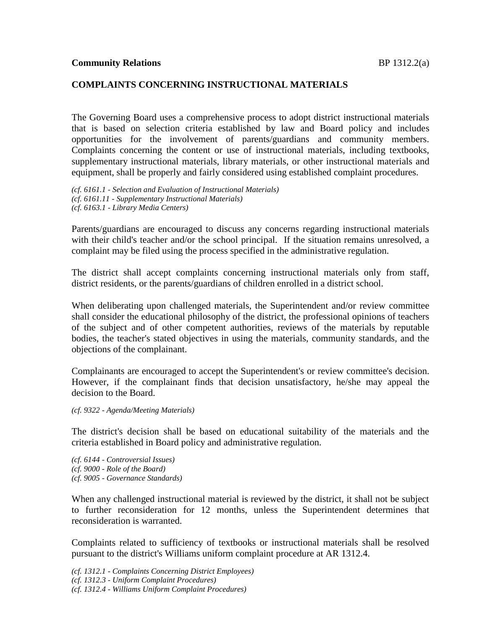### **COMPLAINTS CONCERNING INSTRUCTIONAL MATERIALS**

The Governing Board uses a comprehensive process to adopt district instructional materials that is based on selection criteria established by law and Board policy and includes opportunities for the involvement of parents/guardians and community members. Complaints concerning the content or use of instructional materials, including textbooks, supplementary instructional materials, library materials, or other instructional materials and equipment, shall be properly and fairly considered using established complaint procedures.

*(cf. 6161.1 - Selection and Evaluation of Instructional Materials) (cf. 6161.11 - Supplementary Instructional Materials) (cf. 6163.1 - Library Media Centers)*

Parents/guardians are encouraged to discuss any concerns regarding instructional materials with their child's teacher and/or the school principal. If the situation remains unresolved, a complaint may be filed using the process specified in the administrative regulation.

The district shall accept complaints concerning instructional materials only from staff, district residents, or the parents/guardians of children enrolled in a district school.

When deliberating upon challenged materials, the Superintendent and/or review committee shall consider the educational philosophy of the district, the professional opinions of teachers of the subject and of other competent authorities, reviews of the materials by reputable bodies, the teacher's stated objectives in using the materials, community standards, and the objections of the complainant.

Complainants are encouraged to accept the Superintendent's or review committee's decision. However, if the complainant finds that decision unsatisfactory, he/she may appeal the decision to the Board.

*(cf. 9322 - Agenda/Meeting Materials)*

The district's decision shall be based on educational suitability of the materials and the criteria established in Board policy and administrative regulation.

*(cf. 6144 - Controversial Issues) (cf. 9000 - Role of the Board) (cf. 9005 - Governance Standards)*

When any challenged instructional material is reviewed by the district, it shall not be subject to further reconsideration for 12 months, unless the Superintendent determines that reconsideration is warranted.

Complaints related to sufficiency of textbooks or instructional materials shall be resolved pursuant to the district's Williams uniform complaint procedure at AR 1312.4.

*(cf. 1312.1 - Complaints Concerning District Employees) (cf. 1312.3 - Uniform Complaint Procedures) (cf. 1312.4 - Williams Uniform Complaint Procedures)*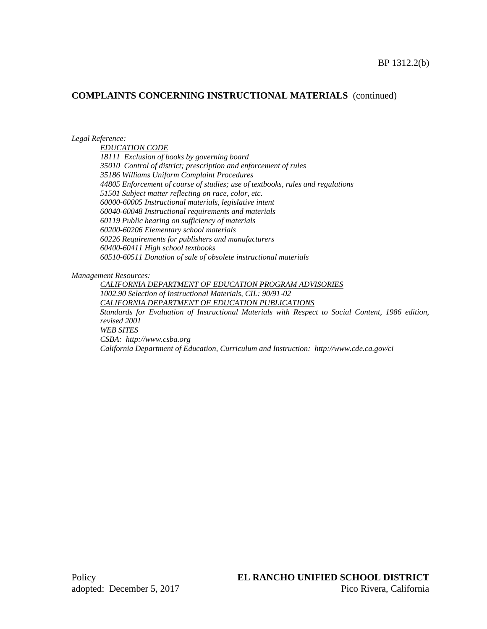#### **COMPLAINTS CONCERNING INSTRUCTIONAL MATERIALS** (continued)

*Legal Reference:*

*EDUCATION CODE 18111 Exclusion of books by governing board 35010 Control of district; prescription and enforcement of rules 35186 Williams Uniform Complaint Procedures 44805 Enforcement of course of studies; use of textbooks, rules and regulations 51501 Subject matter reflecting on race, color, etc. 60000-60005 Instructional materials, legislative intent 60040-60048 Instructional requirements and materials 60119 Public hearing on sufficiency of materials 60200-60206 Elementary school materials 60226 Requirements for publishers and manufacturers 60400-60411 High school textbooks 60510-60511 Donation of sale of obsolete instructional materials*

*Management Resources:*

*CALIFORNIA DEPARTMENT OF EDUCATION PROGRAM ADVISORIES 1002.90 Selection of Instructional Materials, CIL: 90/91-02 CALIFORNIA DEPARTMENT OF EDUCATION PUBLICATIONS Standards for Evaluation of Instructional Materials with Respect to Social Content, 1986 edition, revised 2001 WEB SITES CSBA: http://www.csba.org California Department of Education, Curriculum and Instruction: http://www.cde.ca.gov/ci*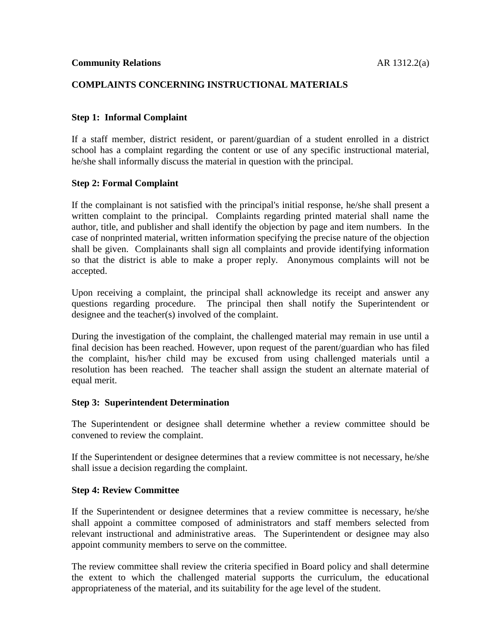# **COMPLAINTS CONCERNING INSTRUCTIONAL MATERIALS**

# **Step 1: Informal Complaint**

If a staff member, district resident, or parent/guardian of a student enrolled in a district school has a complaint regarding the content or use of any specific instructional material, he/she shall informally discuss the material in question with the principal.

### **Step 2: Formal Complaint**

If the complainant is not satisfied with the principal's initial response, he/she shall present a written complaint to the principal. Complaints regarding printed material shall name the author, title, and publisher and shall identify the objection by page and item numbers. In the case of nonprinted material, written information specifying the precise nature of the objection shall be given. Complainants shall sign all complaints and provide identifying information so that the district is able to make a proper reply. Anonymous complaints will not be accepted.

Upon receiving a complaint, the principal shall acknowledge its receipt and answer any questions regarding procedure. The principal then shall notify the Superintendent or designee and the teacher(s) involved of the complaint.

During the investigation of the complaint, the challenged material may remain in use until a final decision has been reached. However, upon request of the parent/guardian who has filed the complaint, his/her child may be excused from using challenged materials until a resolution has been reached. The teacher shall assign the student an alternate material of equal merit.

### **Step 3: Superintendent Determination**

The Superintendent or designee shall determine whether a review committee should be convened to review the complaint.

If the Superintendent or designee determines that a review committee is not necessary, he/she shall issue a decision regarding the complaint.

### **Step 4: Review Committee**

If the Superintendent or designee determines that a review committee is necessary, he/she shall appoint a committee composed of administrators and staff members selected from relevant instructional and administrative areas. The Superintendent or designee may also appoint community members to serve on the committee.

The review committee shall review the criteria specified in Board policy and shall determine the extent to which the challenged material supports the curriculum, the educational appropriateness of the material, and its suitability for the age level of the student.